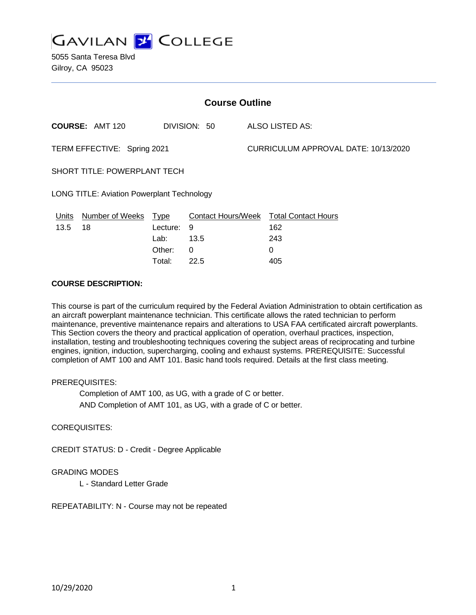

5055 Santa Teresa Blvd Gilroy, CA 95023

| <b>Course Outline</b>                             |                        |             |              |                                      |                                        |
|---------------------------------------------------|------------------------|-------------|--------------|--------------------------------------|----------------------------------------|
|                                                   | <b>COURSE: AMT 120</b> |             | DIVISION: 50 |                                      | ALSO LISTED AS:                        |
| TERM EFFECTIVE: Spring 2021                       |                        |             |              | CURRICULUM APPROVAL DATE: 10/13/2020 |                                        |
| <b>SHORT TITLE: POWERPLANT TECH</b>               |                        |             |              |                                      |                                        |
| <b>LONG TITLE: Aviation Powerplant Technology</b> |                        |             |              |                                      |                                        |
| Units                                             | <b>Number of Weeks</b> | <b>Type</b> |              |                                      | Contact Hours/Week Total Contact Hours |
| 13.5                                              | 18                     | Lecture:    | 9            |                                      | 162                                    |
|                                                   |                        | Lab:        | 13.5         |                                      | 243                                    |
|                                                   |                        | Other:      | 0            |                                      | 0                                      |

Total: 22.5 405

### **COURSE DESCRIPTION:**

This course is part of the curriculum required by the Federal Aviation Administration to obtain certification as an aircraft powerplant maintenance technician. This certificate allows the rated technician to perform maintenance, preventive maintenance repairs and alterations to USA FAA certificated aircraft powerplants. This Section covers the theory and practical application of operation, overhaul practices, inspection, installation, testing and troubleshooting techniques covering the subject areas of reciprocating and turbine engines, ignition, induction, supercharging, cooling and exhaust systems. PREREQUISITE: Successful completion of AMT 100 and AMT 101. Basic hand tools required. Details at the first class meeting.

#### PREREQUISITES:

Completion of AMT 100, as UG, with a grade of C or better. AND Completion of AMT 101, as UG, with a grade of C or better.

COREQUISITES:

CREDIT STATUS: D - Credit - Degree Applicable

## GRADING MODES

L - Standard Letter Grade

REPEATABILITY: N - Course may not be repeated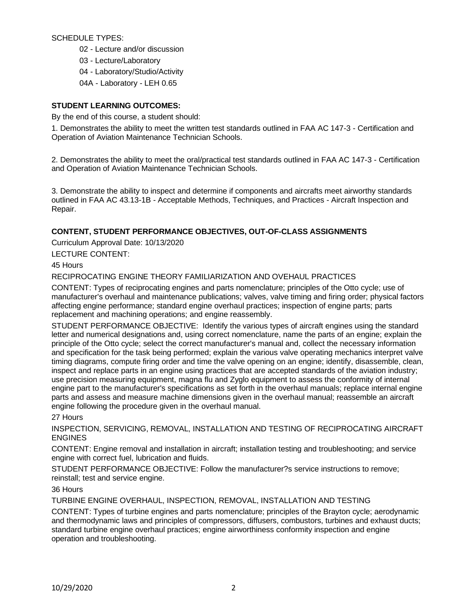SCHEDULE TYPES:

02 - Lecture and/or discussion

03 - Lecture/Laboratory

04 - Laboratory/Studio/Activity

04A - Laboratory - LEH 0.65

# **STUDENT LEARNING OUTCOMES:**

By the end of this course, a student should:

1. Demonstrates the ability to meet the written test standards outlined in FAA AC 147-3 - Certification and Operation of Aviation Maintenance Technician Schools.

2. Demonstrates the ability to meet the oral/practical test standards outlined in FAA AC 147-3 - Certification and Operation of Aviation Maintenance Technician Schools.

3. Demonstrate the ability to inspect and determine if components and aircrafts meet airworthy standards outlined in FAA AC 43.13-1B - Acceptable Methods, Techniques, and Practices - Aircraft Inspection and Repair.

# **CONTENT, STUDENT PERFORMANCE OBJECTIVES, OUT-OF-CLASS ASSIGNMENTS**

Curriculum Approval Date: 10/13/2020

LECTURE CONTENT:

45 Hours

RECIPROCATING ENGINE THEORY FAMILIARIZATION AND OVEHAUL PRACTICES

CONTENT: Types of reciprocating engines and parts nomenclature; principles of the Otto cycle; use of manufacturer's overhaul and maintenance publications; valves, valve timing and firing order; physical factors affecting engine performance; standard engine overhaul practices; inspection of engine parts; parts replacement and machining operations; and engine reassembly.

STUDENT PERFORMANCE OBJECTIVE: Identify the various types of aircraft engines using the standard letter and numerical designations and, using correct nomenclature, name the parts of an engine; explain the principle of the Otto cycle; select the correct manufacturer's manual and, collect the necessary information and specification for the task being performed; explain the various valve operating mechanics interpret valve timing diagrams, compute firing order and time the valve opening on an engine; identify, disassemble, clean, inspect and replace parts in an engine using practices that are accepted standards of the aviation industry; use precision measuring equipment, magna flu and Zyglo equipment to assess the conformity of internal engine part to the manufacturer's specifications as set forth in the overhaul manuals; replace internal engine parts and assess and measure machine dimensions given in the overhaul manual; reassemble an aircraft engine following the procedure given in the overhaul manual.

27 Hours

INSPECTION, SERVICING, REMOVAL, INSTALLATION AND TESTING OF RECIPROCATING AIRCRAFT ENGINES

CONTENT: Engine removal and installation in aircraft; installation testing and troubleshooting; and service engine with correct fuel, lubrication and fluids.

STUDENT PERFORMANCE OBJECTIVE: Follow the manufacturer?s service instructions to remove; reinstall; test and service engine.

36 Hours

TURBINE ENGINE OVERHAUL, INSPECTION, REMOVAL, INSTALLATION AND TESTING

CONTENT: Types of turbine engines and parts nomenclature; principles of the Brayton cycle; aerodynamic and thermodynamic laws and principles of compressors, diffusers, combustors, turbines and exhaust ducts; standard turbine engine overhaul practices; engine airworthiness conformity inspection and engine operation and troubleshooting.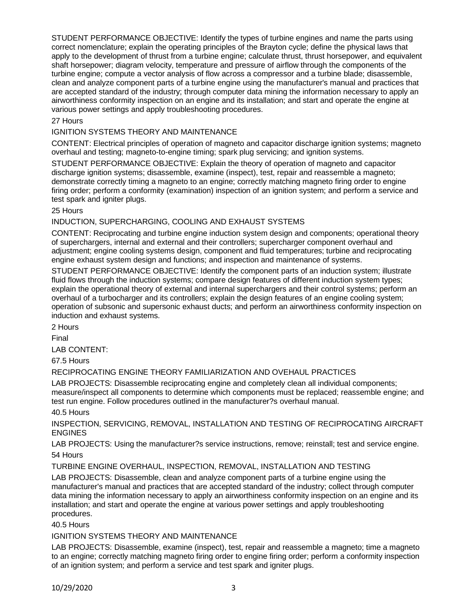STUDENT PERFORMANCE OBJECTIVE: Identify the types of turbine engines and name the parts using correct nomenclature; explain the operating principles of the Brayton cycle; define the physical laws that apply to the development of thrust from a turbine engine; calculate thrust, thrust horsepower, and equivalent shaft horsepower; diagram velocity, temperature and pressure of airflow through the components of the turbine engine; compute a vector analysis of flow across a compressor and a turbine blade; disassemble, clean and analyze component parts of a turbine engine using the manufacturer's manual and practices that are accepted standard of the industry; through computer data mining the information necessary to apply an airworthiness conformity inspection on an engine and its installation; and start and operate the engine at various power settings and apply troubleshooting procedures.

#### 27 Hours

### IGNITION SYSTEMS THEORY AND MAINTENANCE

CONTENT: Electrical principles of operation of magneto and capacitor discharge ignition systems; magneto overhaul and testing; magneto-to-engine timing; spark plug servicing; and ignition systems.

STUDENT PERFORMANCE OBJECTIVE: Explain the theory of operation of magneto and capacitor discharge ignition systems; disassemble, examine (inspect), test, repair and reassemble a magneto; demonstrate correctly timing a magneto to an engine; correctly matching magneto firing order to engine firing order; perform a conformity (examination) inspection of an ignition system; and perform a service and test spark and igniter plugs.

#### 25 Hours

### INDUCTION, SUPERCHARGING, COOLING AND EXHAUST SYSTEMS

CONTENT: Reciprocating and turbine engine induction system design and components; operational theory of superchargers, internal and external and their controllers; supercharger component overhaul and adjustment; engine cooling systems design, component and fluid temperatures; turbine and reciprocating engine exhaust system design and functions; and inspection and maintenance of systems.

STUDENT PERFORMANCE OBJECTIVE: Identify the component parts of an induction system; illustrate fluid flows through the induction systems; compare design features of different induction system types; explain the operational theory of external and internal superchargers and their control systems; perform an overhaul of a turbocharger and its controllers; explain the design features of an engine cooling system; operation of subsonic and supersonic exhaust ducts; and perform an airworthiness conformity inspection on induction and exhaust systems.

2 Hours

Final

LAB CONTENT:

67.5 Hours

## RECIPROCATING ENGINE THEORY FAMILIARIZATION AND OVEHAUL PRACTICES

LAB PROJECTS: Disassemble reciprocating engine and completely clean all individual components; measure/inspect all components to determine which components must be replaced; reassemble engine; and test run engine. Follow procedures outlined in the manufacturer?s overhaul manual.

40.5 Hours

INSPECTION, SERVICING, REMOVAL, INSTALLATION AND TESTING OF RECIPROCATING AIRCRAFT ENGINES

LAB PROJECTS: Using the manufacturer?s service instructions, remove; reinstall; test and service engine. 54 Hours

TURBINE ENGINE OVERHAUL, INSPECTION, REMOVAL, INSTALLATION AND TESTING

LAB PROJECTS: Disassemble, clean and analyze component parts of a turbine engine using the manufacturer's manual and practices that are accepted standard of the industry; collect through computer data mining the information necessary to apply an airworthiness conformity inspection on an engine and its installation; and start and operate the engine at various power settings and apply troubleshooting procedures.

40.5 Hours

## IGNITION SYSTEMS THEORY AND MAINTENANCE

LAB PROJECTS: Disassemble, examine (inspect), test, repair and reassemble a magneto; time a magneto to an engine; correctly matching magneto firing order to engine firing order; perform a conformity inspection of an ignition system; and perform a service and test spark and igniter plugs.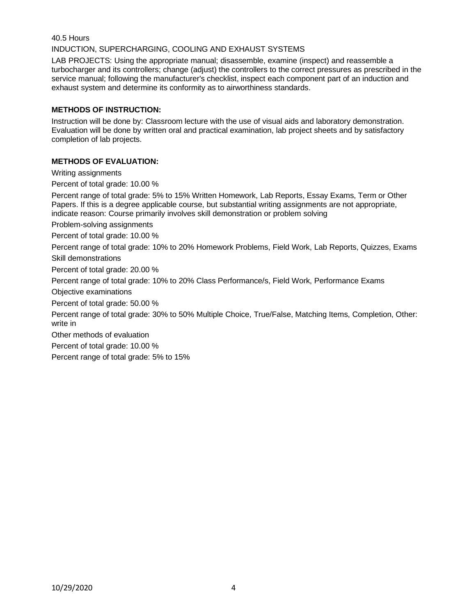# 40.5 Hours INDUCTION, SUPERCHARGING, COOLING AND EXHAUST SYSTEMS

LAB PROJECTS: Using the appropriate manual; disassemble, examine (inspect) and reassemble a turbocharger and its controllers; change (adjust) the controllers to the correct pressures as prescribed in the service manual; following the manufacturer's checklist, inspect each component part of an induction and exhaust system and determine its conformity as to airworthiness standards.

# **METHODS OF INSTRUCTION:**

Instruction will be done by: Classroom lecture with the use of visual aids and laboratory demonstration. Evaluation will be done by written oral and practical examination, lab project sheets and by satisfactory completion of lab projects.

# **METHODS OF EVALUATION:**

Writing assignments

Percent of total grade: 10.00 %

Percent range of total grade: 5% to 15% Written Homework, Lab Reports, Essay Exams, Term or Other Papers. If this is a degree applicable course, but substantial writing assignments are not appropriate, indicate reason: Course primarily involves skill demonstration or problem solving

Problem-solving assignments

Percent of total grade: 10.00 %

Percent range of total grade: 10% to 20% Homework Problems, Field Work, Lab Reports, Quizzes, Exams Skill demonstrations

Percent of total grade: 20.00 %

Percent range of total grade: 10% to 20% Class Performance/s, Field Work, Performance Exams

Objective examinations

Percent of total grade: 50.00 %

Percent range of total grade: 30% to 50% Multiple Choice, True/False, Matching Items, Completion, Other: write in

Other methods of evaluation

Percent of total grade: 10.00 %

Percent range of total grade: 5% to 15%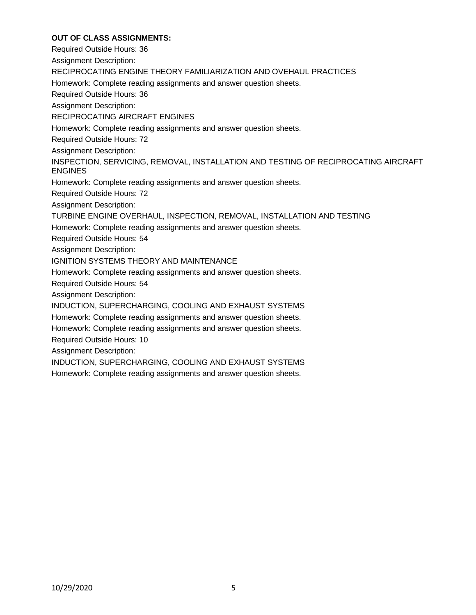# **OUT OF CLASS ASSIGNMENTS:**

Required Outside Hours: 36 Assignment Description: RECIPROCATING ENGINE THEORY FAMILIARIZATION AND OVEHAUL PRACTICES Homework: Complete reading assignments and answer question sheets. Required Outside Hours: 36 Assignment Description: RECIPROCATING AIRCRAFT ENGINES Homework: Complete reading assignments and answer question sheets. Required Outside Hours: 72 Assignment Description: INSPECTION, SERVICING, REMOVAL, INSTALLATION AND TESTING OF RECIPROCATING AIRCRAFT ENGINES Homework: Complete reading assignments and answer question sheets. Required Outside Hours: 72 Assignment Description: TURBINE ENGINE OVERHAUL, INSPECTION, REMOVAL, INSTALLATION AND TESTING Homework: Complete reading assignments and answer question sheets. Required Outside Hours: 54 Assignment Description: IGNITION SYSTEMS THEORY AND MAINTENANCE Homework: Complete reading assignments and answer question sheets. Required Outside Hours: 54 Assignment Description: INDUCTION, SUPERCHARGING, COOLING AND EXHAUST SYSTEMS Homework: Complete reading assignments and answer question sheets. Homework: Complete reading assignments and answer question sheets. Required Outside Hours: 10 Assignment Description: INDUCTION, SUPERCHARGING, COOLING AND EXHAUST SYSTEMS Homework: Complete reading assignments and answer question sheets.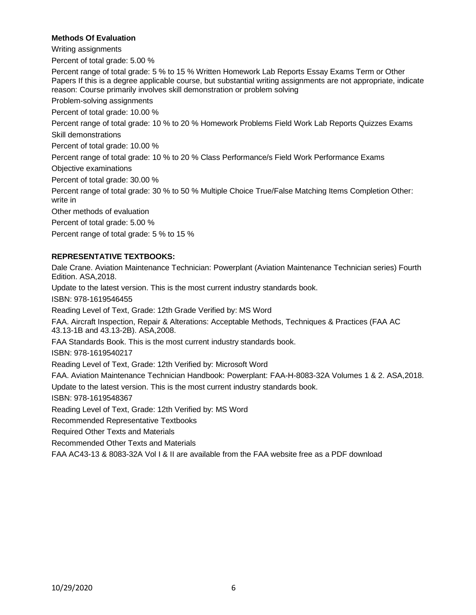## **Methods Of Evaluation**

Writing assignments

Percent of total grade: 5.00 %

Percent range of total grade: 5 % to 15 % Written Homework Lab Reports Essay Exams Term or Other Papers If this is a degree applicable course, but substantial writing assignments are not appropriate, indicate reason: Course primarily involves skill demonstration or problem solving

Problem-solving assignments

Percent of total grade: 10.00 %

Percent range of total grade: 10 % to 20 % Homework Problems Field Work Lab Reports Quizzes Exams Skill demonstrations

Percent of total grade: 10.00 %

Percent range of total grade: 10 % to 20 % Class Performance/s Field Work Performance Exams

Objective examinations

Percent of total grade: 30.00 %

Percent range of total grade: 30 % to 50 % Multiple Choice True/False Matching Items Completion Other: write in

Other methods of evaluation

Percent of total grade: 5.00 %

Percent range of total grade: 5 % to 15 %

## **REPRESENTATIVE TEXTBOOKS:**

Dale Crane. Aviation Maintenance Technician: Powerplant (Aviation Maintenance Technician series) Fourth Edition. ASA,2018. Update to the latest version. This is the most current industry standards book. ISBN: 978-1619546455 Reading Level of Text, Grade: 12th Grade Verified by: MS Word FAA. Aircraft Inspection, Repair & Alterations: Acceptable Methods, Techniques & Practices (FAA AC 43.13-1B and 43.13-2B). ASA,2008. FAA Standards Book. This is the most current industry standards book. ISBN: 978-1619540217 Reading Level of Text, Grade: 12th Verified by: Microsoft Word FAA. Aviation Maintenance Technician Handbook: Powerplant: FAA-H-8083-32A Volumes 1 & 2. ASA,2018. Update to the latest version. This is the most current industry standards book. ISBN: 978-1619548367 Reading Level of Text, Grade: 12th Verified by: MS Word Recommended Representative Textbooks Required Other Texts and Materials Recommended Other Texts and Materials FAA AC43-13 & 8083-32A Vol I & II are available from the FAA website free as a PDF download